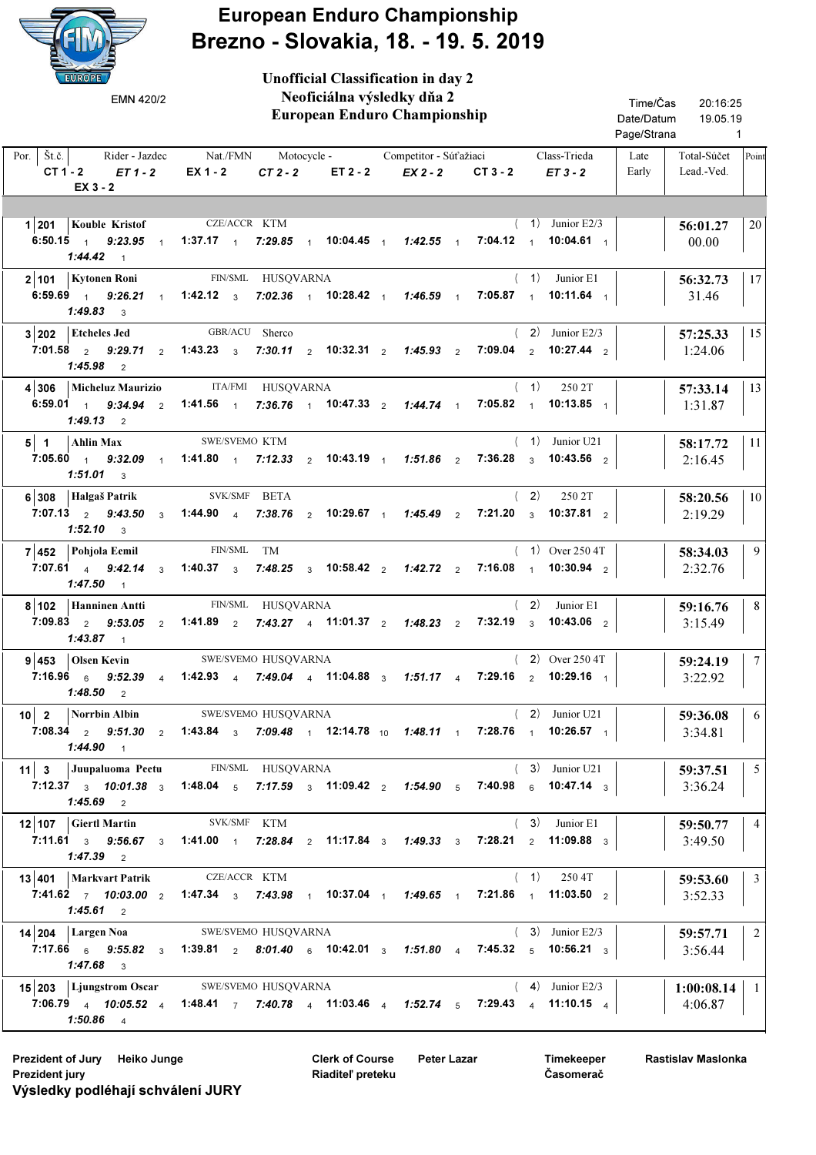

European Enduro Championship Brezno - Slovakia, 18. - 19. 5. 2019

| <b>EUROPE</b><br>EMN 420/2                                                               | <b>Unofficial Classification in day 2</b><br>Neoficiálna výsledky dňa 2<br><b>European Enduro Championship</b>                                                                    | Time/Čas<br>20:16:25<br>Date/Datum<br>19.05.19<br>Page/Strana<br>$\overline{1}$ |
|------------------------------------------------------------------------------------------|-----------------------------------------------------------------------------------------------------------------------------------------------------------------------------------|---------------------------------------------------------------------------------|
| Por.   $\check{S}t.\check{c}$ .<br>Rider - Jazdec<br>$CT 1 - 2$<br>$ET1-2$<br>$EX_3 - 2$ | Nat./FMN<br>Class-Trieda<br>Motocycle -<br>Competitor - Súťažiaci<br>EX 1 - 2<br>$CT2-2$<br>ET 2 - 2<br>$EX2 - 2$<br>$CT3 - 2$<br>$ET3-2$                                         | Total-Súčet<br>Late<br>Point<br>Lead.-Ved.<br>Early                             |
|                                                                                          |                                                                                                                                                                                   |                                                                                 |
| 1 201 Kouble Kristof                                                                     | CZE/ACCR KTM<br>$(1)$ Junior E2/3                                                                                                                                                 | 20<br>56:01.27                                                                  |
| 6:50.15 $1$ 9:23.95 $1$<br>$1:44.42$ 1                                                   | 1:37.17 1 7:29.85 1 10:04.45 1 1:42.55 1<br>$7:04.12$ 1<br>10:04.61 $\frac{1}{1}$                                                                                                 | 00.00                                                                           |
| 2 101   Kytonen Roni                                                                     | FIN/SML HUSQVARNA<br>(1)<br>Junior E1                                                                                                                                             | 17<br>56:32.73                                                                  |
| $9:26.21$ 1<br>6:59.69 $1$<br>$1:49.83$ 3                                                | 1:42.12 $3$<br>7:02.36 1 10:28.42 1 1:46.59 1 7:05.87 1<br>10:11.64 $1$                                                                                                           | 31.46                                                                           |
| 3 202<br><b>Etcheles Jed</b>                                                             | GBR/ACU Sherco<br>$(2)$ Junior E2/3                                                                                                                                               | 15<br>57:25.33                                                                  |
| $7:01.58$ 2<br>9:29.71<br>2<br>1:45.98<br>$\overline{2}$                                 | 1:43.23 $3$ 7:30.11 $2$ 10:32.31 $2$<br>7:09.04 $2 \t 10:27.44$ 2<br>$1:45.93$ 2                                                                                                  | 1:24.06                                                                         |
| <b>Micheluz Maurizio</b><br>4 306                                                        | ITA/FMI HUSQVARNA<br>(1)<br>250 2T                                                                                                                                                | 13<br>57:33.14                                                                  |
| 6:59.01 $1$ 9:34.94 $2$ 1:41.56 $1$<br>$1:49.13$ 2                                       | 7:36.76 $\frac{1}{1}$ 10:47.33 $\frac{2}{1}$ 1:44.74 $\frac{1}{1}$<br>7:05.82 $1$ 10:13.85 $1$                                                                                    | 1:31.87                                                                         |
| $5$   1<br>Ahlin Max                                                                     | (1)<br>SWE/SVEMO KTM<br>Junior U21                                                                                                                                                | 11<br>58:17.72                                                                  |
| $7:05.60 \quad 1 \quad 9:32.09$<br>$\overline{1}$<br>$1:51.01$ 3                         | 1:41.80 $1$<br>7:12.33 $\frac{1}{2}$ 10:43.19 $\frac{1}{1}$<br>$7:36.28$ 3<br>10:43.56 $_2$<br>$1:51.86$ 2                                                                        | 2:16.45                                                                         |
| 6 308 Halgaš Patrik                                                                      | (2)<br>SVK/SMF BETA<br>250 2T                                                                                                                                                     | 10<br>58:20.56                                                                  |
| 7:07.13 $2$ 9:43.50<br>$\mathbf{3}$<br>$1:52.10$ 3                                       | 1:44.90 4 7:38.76 2 10:29.67 1 1:45.49 2<br>7:21.20 $3 \t 10:37.81 \t 2$                                                                                                          | 2:19.29                                                                         |
| 7 452<br>Pohjola Eemil                                                                   | FIN/SML<br>$(1)$ Over 250 4T<br>TM                                                                                                                                                | 9<br>58:34.03                                                                   |
| $7:07.61$ 4 $9:42.14$<br>$\mathbf{3}$<br>$1:47.50$ 1                                     | 7:16.08 $\frac{1}{1}$ 10:30.94 $\frac{2}{2}$<br>1:40.37 $\frac{3}{3}$<br>7:48.25 $3\quad 10:58.42$ 2<br>$1:42.72$ 2                                                               | 2:32.76                                                                         |
| 8 102 Hanninen Antti                                                                     | FIN/SML HUSQVARNA<br>(2)<br>Junior E1                                                                                                                                             | 8<br>59:16.76                                                                   |
| 7:09.83 $2$ 9:53.05 $2$<br>1:43.87<br>$\overline{1}$                                     | $7:32.19$ 3<br>1:41.89 $\frac{2}{3}$<br>7:43.27 4 11:01.37 2 1:48.23 2<br>10:43.06 $_2$                                                                                           | 3:15.49                                                                         |
| $9 453 $ Olsen Kevin                                                                     | $(2)$ Over 250 4T<br>SWE/SVEMO HUSQVARNA                                                                                                                                          | $\overline{7}$<br>59:24.19                                                      |
| $1:48.50$ 2                                                                              | 7:16.96 $\frac{1}{6}$ 9:52.39 $\frac{1}{4}$ 1:42.93 $\frac{1}{4}$ 7:49.04 $\frac{1}{4}$ 11:04.88 $\frac{1}{3}$ 1:51.17 $\frac{1}{4}$ 7:29.16 $\frac{1}{2}$ 10:29.16 $\frac{1}{1}$ | 3:22.92                                                                         |
|                                                                                          | 10 2 Norrbin Albin SWE/SVEMO HUSQVARNA<br>$(2)$ Junior U21                                                                                                                        | 6<br>59:36.08                                                                   |
| $1:44.90$ 1                                                                              | 7:08.34 2 9:51.30 2 1:43.84 3 7:09.48 1 12:14.78 10 1:48.11 1 7:28.76 1 10:26.57 1                                                                                                | 3:34.81                                                                         |
|                                                                                          | 11 3 Juupaluoma Peetu FIN/SML HUSQVARNA<br>$(3)$ Junior U21                                                                                                                       | $5^{\circ}$<br>59:37.51                                                         |
| $1:45.69$ 2                                                                              | 7:12.37 $_3$ 10:01.38 $_3$ 1:48.04 $_5$ 7:17.59 $_3$ 11:09.42 $_2$ 1:54.90 $_5$ 7:40.98 $_6$ 10:47.14 $_3$                                                                        | 3:36.24                                                                         |
| 12 107 Giertl Martin                                                                     | SVK/SMF KTM<br>$(3)$ Junior E1                                                                                                                                                    | $\overline{4}$<br>59:50.77                                                      |
| $1:47.39$ 2                                                                              | 7:11.61 $_3$ 9:56.67 $_3$ 1:41.00 $_1$ 7:28.84 $_2$ 11:17.84 $_3$ 1:49.33 $_3$ 7:28.21 $_2$ 11:09.88 $_3$                                                                         | 3:49.50                                                                         |
| 13 401   Markvart Patrik CZE/ACCR KTM                                                    | $(1)$ 250 4T                                                                                                                                                                      | $\overline{\mathbf{3}}$<br>59:53.60                                             |
| <b>1:45.61</b> 2                                                                         | 7:41.62 7 10:03.00 2 1:47.34 3 7:43.98 1 10:37.04 1 1:49.65 1 7:21.86 1 11:03.50 2                                                                                                | 3:52.33                                                                         |
| $14 204 $ Largen Noa                                                                     | $(3)$ Junior E2/3<br>SWE/SVEMO HUSQVARNA                                                                                                                                          | 2<br>59:57.71                                                                   |
| $1:47.68$ 3                                                                              | 7:17.66 $\frac{1}{6}$ 9:55.82 $\frac{1}{3}$ 1:39.81 $\frac{1}{2}$ 8:01.40 $\frac{1}{6}$ 10:42.01 $\frac{1}{3}$ 1:51.80 $\frac{1}{4}$ 7:45.32 $\frac{1}{5}$ 10:56.21 $\frac{1}{3}$ | 3:56.44                                                                         |
|                                                                                          | 15 203 Ljungstrom Oscar SWE/SVEMO HUSQVARNA<br>$(4)$ Junior E2/3                                                                                                                  | $1:00:08.14$   1                                                                |
| $1:50.86$ 4                                                                              | 7:06.79 4 10:05.52 4 1:48.41 7 7:40.78 4 11:03.46 4 1:52.74 5 7:29.43 4 11:10.15 4                                                                                                | 4:06.87                                                                         |

Prezident of Jury Heiko Junge **Peter Lazar** Clerk of Course Peter Lazar Prezident jury Výsledky podléhají schválení JURY

Clerk of Course Riaditeľ preteku

Timekeeper Časomerač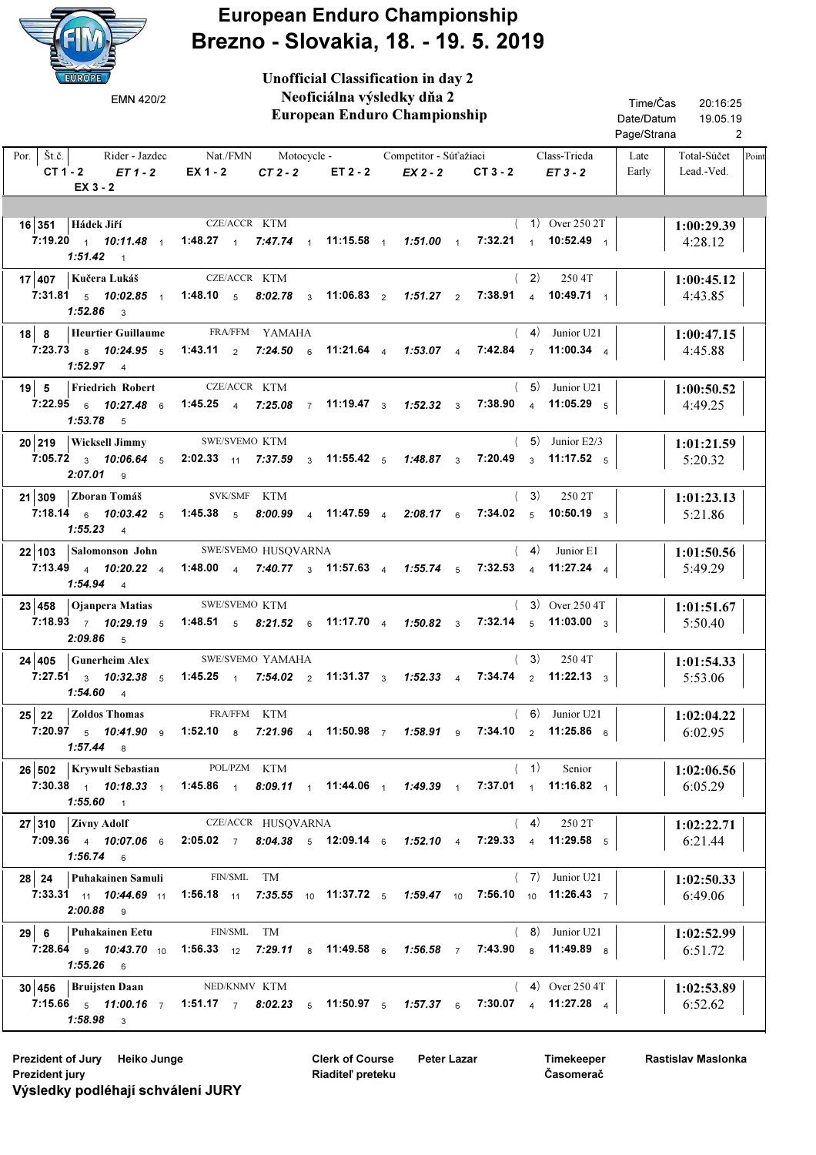

European Enduro Championship Brezno - Slovakia, 18. - 19. 5. 2019

Unofficial Classification in day 2

| EMN 420/2                                                                           | Neoficiálna výsledky dňa 2<br>European Enduro Championship                                                                                             | Time/Čas<br>20:16:25<br>Date/Datum<br>19.05.19<br>Page/Strana<br>2 |  |
|-------------------------------------------------------------------------------------|--------------------------------------------------------------------------------------------------------------------------------------------------------|--------------------------------------------------------------------|--|
| Por.   $\check{S}t.\check{c}$ .<br>Rider - Jazdec<br>$CT1-2$<br>$ET1-2$<br>EX 3 - 2 | Nat./FMN<br>Motocycle - Competitor - Súťažiaci<br>Class-Trieda<br>$EX 1 - 2$<br>$CT2-2$<br>ET 2 - 2<br>EX 2 - 2<br>$CT3 - 2$<br>$ET3-2$                | Total-Súčet<br>Late<br>Point<br>Lead.-Ved.<br>Early                |  |
| 16 351 Hádek Jiří<br>7:19.20 $10:11.48$ $1:13.27$ $1$<br>$1:51.42$ 1                | CZE/ACCR KTM<br>$(1)$ Over 250 2T<br>7:47.74 11:15.58 1 1:51.00 1 7:32.21 1 10:52.49 1                                                                 | 1:00:29.39<br>4:28.12                                              |  |
| 17 407   Kučera Lukáš<br>1:52.86<br>$\overline{\mathbf{3}}$                         | CZE/ACCR KTM<br>(2)<br>250 4T<br>7:31.81 5 10:02.85 1 1:48.10 5 8:02.78 3 11:06.83 2 1:51.27 2<br>7:38.91 4 10:49.71 1                                 | 1:00:45.12<br>4:43.85                                              |  |
| $18$ 8<br>Heurtier Guillaume<br>$1:52.97$ 4                                         | FRA/FFM YAMAHA<br>$(4)$ Junior U21<br>7:23.73 8 10:24.95 5 1:43.11 2 7:24.50 6 11:21.64 4 1:53.07 4 7:42.84 7 11:00.34 4                               | 1:00:47.15<br>4:45.88                                              |  |
| $19$ 5<br><b>Friedrich Robert</b><br>7:22.95 6 10:27.48 6<br>$1:53.78$ 5            | CZE/ACCR KTM<br>$(5)$ Junior U21<br>1:45.25 4 7:25.08 7 11:19.47 3 1:52.32 3<br>7:38.90 $4$ 11:05.29 $5$                                               | 1:00:50.52<br>4:49.25                                              |  |
| 20 219   Wicksell Jimmy<br>$2:07.01$ 9                                              | SWE/SVEMO KTM<br>$(5)$ Junior E2/3<br>7:05.72 $_3$ 10:06.64 $_5$ 2:02.33 $_{11}$ 7:37.59 $_3$ 11:55.42 $_5$ 1:48.87 $_3$<br>7:20.49 $_3$ 11:17.52 $_5$ | 1:01:21.59<br>5:20.32                                              |  |
| 21 309 Zboran Tomáš<br>$1:55.23$ 4                                                  | (3)<br>SVK/SMF KTM<br>250 2T<br>7:18.14 6 10:03.42 5 1:45.38 5 8:00.99 4 11:47.59 4 2:08.17 6<br>7:34.02 $5$ 10:50.19 $3$                              | 1:01:23.13<br>5:21.86                                              |  |
| 7:13.49 4 10:20.22 4<br>$1:54.94$ 4                                                 | 22 103 Salomonson John SWE/SVEMO HUSQVARNA<br>(4)<br>Junior E1<br>7:32.53 4 11:27.24 4<br>1:48.00 4 7:40.77 3 11:57.63 4 1:55.74 5                     | 1:01:50.56<br>5:49.29                                              |  |
| 23 458 Ojanpera Matias<br>$2:09.86$ 5                                               | SWE/SVEMO KTM<br>$(3)$ Over 250 4T<br>7:18.93 7 10:29.19 5 1:48.51 5 8:21.52 6 11:17.70 4 1:50.82 3 7:32.14 5 11:03.00 3                               | 1:01:51.67<br>5:50.40                                              |  |
| $24 405 $ Gunerheim Alex<br>7:27.51 $3$ 10:32.38 $5$ 1:45.25 $1$<br>$1:54.60$ 4     | SWE/SVEMO YAMAHA<br>(3)<br>250 4T<br>7:54.02 $\frac{1}{2}$ 11:31.37 $\frac{1}{3}$ 1:52.33 $\frac{1}{4}$ 7:34.74 $\frac{1}{2}$ 11:22.13 $\frac{1}{3}$   | 1:01:54.33<br>5:53.06                                              |  |
| 25 22 Zoldos Thomas<br>$1:57.44$ 8                                                  | FRA/FFM KTM<br>$(6)$ Junior U21<br>7:20.97 5 10:41.90 9 1:52.10 8 7:21.96 4 11:50.98 7 1:58.91 9 7:34.10 2 11:25.86 6                                  | 1:02:04.22<br>6:02.95                                              |  |
| 26 502   Krywult Sebastian<br>$1:55.60$ 1                                           | POL/PZM KTM<br>(1)<br>Senior<br>7:30.38 1 10:18.33 1 1:45.86 1 8:09.11 1 11:44.06 1 1:49.39 1 7:37.01 1 11:16.82 1                                     | 1:02:06.56<br>6:05.29                                              |  |
| $27$ 310 Zivny Adolf<br>$1:56.74$ 6                                                 | (4)<br>CZE/ACCR HUSQVARNA<br>250 2T<br>7:09.36 4 10:07.06 6 2:05.02 7 8:04.38 5 12:09.14 6 1:52.10 4 7:29.33 4 11:29.58 5                              | 1:02:22.71<br>6:21.44                                              |  |
| 28 24 Puhakainen Samuli<br>$2:00.88$ 9                                              | FIN/SML TM<br>$(7)$ Junior U21<br>7:33.31 11 10:44.69 11 1:56.18 11 7:35.55 10 11:37.72 5 1:59.47 10 7:56.10 10 11:26.43 7                             | 1:02:50.33<br>6:49.06                                              |  |
| 29 6 Puhakainen Eetu<br>$1:55.26$ 6                                                 | FIN/SML TM<br>$(8)$ Junior U21<br>7:28.64 9 10:43.70 10 1:56.33 12 7:29.11 8 11:49.58 6 1:56.58 7 7:43.90 8 11:49.89 8                                 | 1:02:52.99<br>6:51.72                                              |  |
| 30 456   Bruijsten Daan<br>$1:58.98$ 3                                              | NED/KNMV KTM<br>$(4)$ Over 250 4T<br>7:15.66 5 11:00.16 7 1:51.17 7 8:02.23 5 11:50.97 5 1:57.37 6 7:30.07 4 11:27.28 4                                | 1:02:53.89<br>6:52.62                                              |  |

Prezident of Jury Heiko Junge **Peter Lazar** Clerk of Course Peter Lazar Prezident jury Výsledky podléhají schválení JURY

Clerk of Course Riaditeľ preteku

Timekeeper Časomerač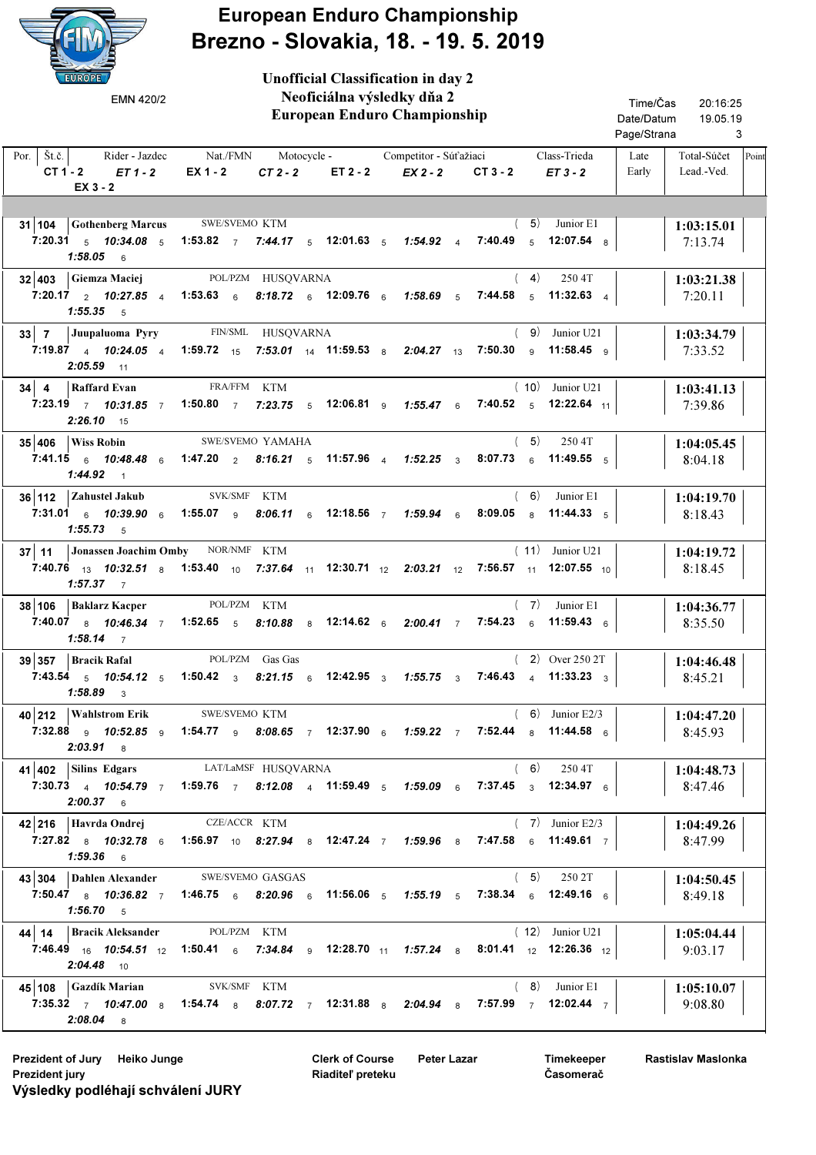

European Enduro Championship Brezno - Slovakia, 18. - 19. 5. 2019

Unofficial Classification in day 2

| EMN 420/2                                                                           | Neoficiálna výsledky dňa 2<br><b>European Enduro Championship</b>                                                                                    |                                                                                                                                                                                                      | Time/Čas<br>20:16:25<br>Date/Datum<br>19.05.19<br>Page/Strana<br>3 |  |  |  |
|-------------------------------------------------------------------------------------|------------------------------------------------------------------------------------------------------------------------------------------------------|------------------------------------------------------------------------------------------------------------------------------------------------------------------------------------------------------|--------------------------------------------------------------------|--|--|--|
| Por. $\left  \right. \check{S}t.\check{c}$ .<br>$CT 1 - 2$ $ET 1 - 2$<br>EX 3 - 2   | Rider - Jazdec Nat./FMN Motocycle - Competitor - Súťažiaci<br>EX 1 - 2<br>$CT2-2$ $ET2-2$                                                            | Class-Trieda<br>EX 2 - 2<br>$CT3 - 2$<br>$ET3-2$                                                                                                                                                     | Late<br>Total-Súčet<br>Point<br>Early<br>Lead.-Ved.                |  |  |  |
| 31 104 Gothenberg Marcus SWE/SVEMO KTM<br>$1:58.05$ 6                               | 7:20.31 $_5$ 10:34.08 $_5$ 1:53.82 $_7$ 7:44.17 $_5$ 12:01.63 $_5$ 1:54.92 $_4$                                                                      | (5)<br>Junior E1<br>7:40.49 $5$ 12:07.54 $8$                                                                                                                                                         | 1:03:15.01<br>7:13.74                                              |  |  |  |
| 32 403 Giemza Maciej<br>$1:55.35$ 5                                                 | POL/PZM HUSQVARNA                                                                                                                                    | (4)<br>250 4T<br>7:20.17 2 10:27.85 4 1:53.63 6 8:18.72 6 12:09.76 6 1:58.69 5 7:44.58 5 11:32.63 4                                                                                                  | 1:03:21.38<br>7:20.11                                              |  |  |  |
| $2:05.59$ 11                                                                        | 33 7 Juupaluoma Pyry FIN/SML HUSQVARNA                                                                                                               | (9)<br>Junior U21<br>7:19.87 4 10:24.05 4 1:59.72 15 7:53.01 14 11:59.53 8 2:04.27 13 7:50.30 9 11:58.45 9                                                                                           | 1:03:34.79<br>7:33.52                                              |  |  |  |
| 34 4 Raffard Evan<br>7:23.19 $\frac{7}{10}$ 10:31.85 $\frac{7}{10}$<br>$2:26.10$ 15 | FRA/FFM KTM<br>1:50.80 7 7:23.75 5 12:06.81 9 1:55.47 6                                                                                              | $(10)$ Junior U21<br>7:40.52 $5$ 12:22.64 $11$                                                                                                                                                       | 1:03:41.13<br>7:39.86                                              |  |  |  |
| $35 406$ Wiss Robin<br>$1:44.92$ 1                                                  | SWE/SVEMO YAMAHA<br>7:41.15 6 10:48.48 6 1:47.20 2 8:16.21 5 11:57.96 4 1:52.25 3                                                                    | (5)<br>250 4T<br>8:07.73 6 11:49.55 5                                                                                                                                                                | 1:04:05.45<br>8:04.18                                              |  |  |  |
| 36 112 Zahustel Jakub<br>$1:55.73$ 5                                                | SVK/SMF KTM<br>7:31.01 $\frac{1}{6}$ 10:39.90 $\frac{1}{6}$ 1:55.07 $\frac{1}{9}$ 8:06.11 $\frac{1}{6}$ 12:18.56 $\frac{1}{7}$ 1:59.94 $\frac{1}{6}$ | (6)<br>Junior E1<br>8:09.05 a 11:44.33 $5$                                                                                                                                                           | 1:04:19.70<br>8:18.43                                              |  |  |  |
| 37   11   Jonassen Joachim Omby NOR/NMF KTM<br>$1:57.37$ 7                          |                                                                                                                                                      | $(11)$ Junior U21<br>7:40.76 $_{13}$ 10:32.51 $_{8}$ 1:53.40 $_{10}$ 7:37.64 $_{11}$ 12:30.71 $_{12}$ 2:03.21 $_{12}$ 7:56.57 $_{11}$ 12:07.55 $_{10}$                                               | 1:04:19.72<br>8:18.45                                              |  |  |  |
| 38 106   Baklarz Kacper<br><b>1:58.14</b> 7                                         | POL/PZM KTM                                                                                                                                          | $(7)$ Junior E1<br>7:40.07 a 10:46.34 $\frac{7}{7}$ 1:52.65 s 8:10.88 a 12:14.62 a 2:00.41 $\frac{7}{7}$ 7:54.23 a 11:59.43 a                                                                        | 1:04:36.77<br>8:35.50                                              |  |  |  |
| $39 357 $ Bracik Rafal<br>$1:58.89$ 3                                               | POL/PZM Gas Gas<br>7:43.54 $\,$ 5 10:54.12 $\,$ 5 1:50.42 $\,$ 3 8:21.15 $\,$ 6 12:42.95 $\,$ 3 1:55.75 $\,$ 3                                       | $(2)$ Over 250 2T<br>7:46.43 4 11:33.23 3                                                                                                                                                            | 1:04:46.48<br>8:45.21                                              |  |  |  |
| 40 212 Wahlstrom Erik SWE/SVEMO KTM<br>$2:03.91$ 8                                  |                                                                                                                                                      | $(6)$ Junior E2/3<br>7:32.88 <sub>9</sub> 10:52.85 <sub>9</sub> 1:54.77 <sub>9</sub> 8:08.65 7 12:37.90 <sub>6</sub> 1:59.22 7 7:52.44 <sub>8</sub> 11:44.58 <sub>6</sub>                            | 1:04:47.20<br>8:45.93                                              |  |  |  |
| 41 402 Silins Edgars<br>$2:00.37$ 6                                                 | LAT/LaMSF HUSQVARNA                                                                                                                                  | (6)<br>250 4T<br>7:30.73 4 10:54.79 7 1:59.76 7 8:12.08 4 11:59.49 5 1:59.09 6 7:37.45 3 12:34.97 6                                                                                                  | 1:04:48.73<br>8:47.46                                              |  |  |  |
| $42$  216   Havrda Ondrej<br>$1:59.36$ 6                                            | CZE/ACCR KTM                                                                                                                                         | $(7)$ Junior E2/3<br>7:27.82 a 10:32.78 a 1:56.97 10 8:27.94 a 12:47.24 7 1:59.96 a 7:47.58 a 11:49.61 7                                                                                             | 1:04:49.26<br>8:47.99                                              |  |  |  |
| 43 304 Dahlen Alexander<br>7:50.47 $8$ 10:36.82 7<br>$1:56.70$ 5                    | SWE/SVEMO GASGAS                                                                                                                                     | (5)<br>250 2T<br>1:46.75 6 8:20.96 6 11:56.06 5 1:55.19 5 7:38.34 6 12:49.16 6                                                                                                                       | 1:04:50.45<br>8:49.18                                              |  |  |  |
| 44   14   Bracik Aleksander<br>$2:04.48$ 10                                         | POL/PZM KTM                                                                                                                                          | $(12)$ Junior U21<br>7:46.49 <sub>16</sub> 10:54.51 <sub>12</sub> 1:50.41 <sub>6</sub> 7:34.84 <sub>9</sub> 12:28.70 <sub>11</sub> 1:57.24 <sub>8</sub> 8:01.41 <sub>12</sub> 12:26.36 <sub>12</sub> | 1:05:04.44<br>9:03.17                                              |  |  |  |
| 45 108 Gazdík Marian<br>$2:08.04$ 8                                                 | SVK/SMF KTM                                                                                                                                          | $(8)$ Junior E1<br>7:35.32 7 10:47.00 8 1:54.74 8 8:07.72 7 12:31.88 8 2:04.94 8 7:57.99 7 12:02.44 7                                                                                                | 1:05:10.07<br>9:08.80                                              |  |  |  |

Prezident of Jury Heiko Junge **Peter Lazar** Clerk of Course Peter Lazar Prezident jury Výsledky podléhají schválení JURY

Clerk of Course Riaditeľ preteku

Timekeeper Časomerač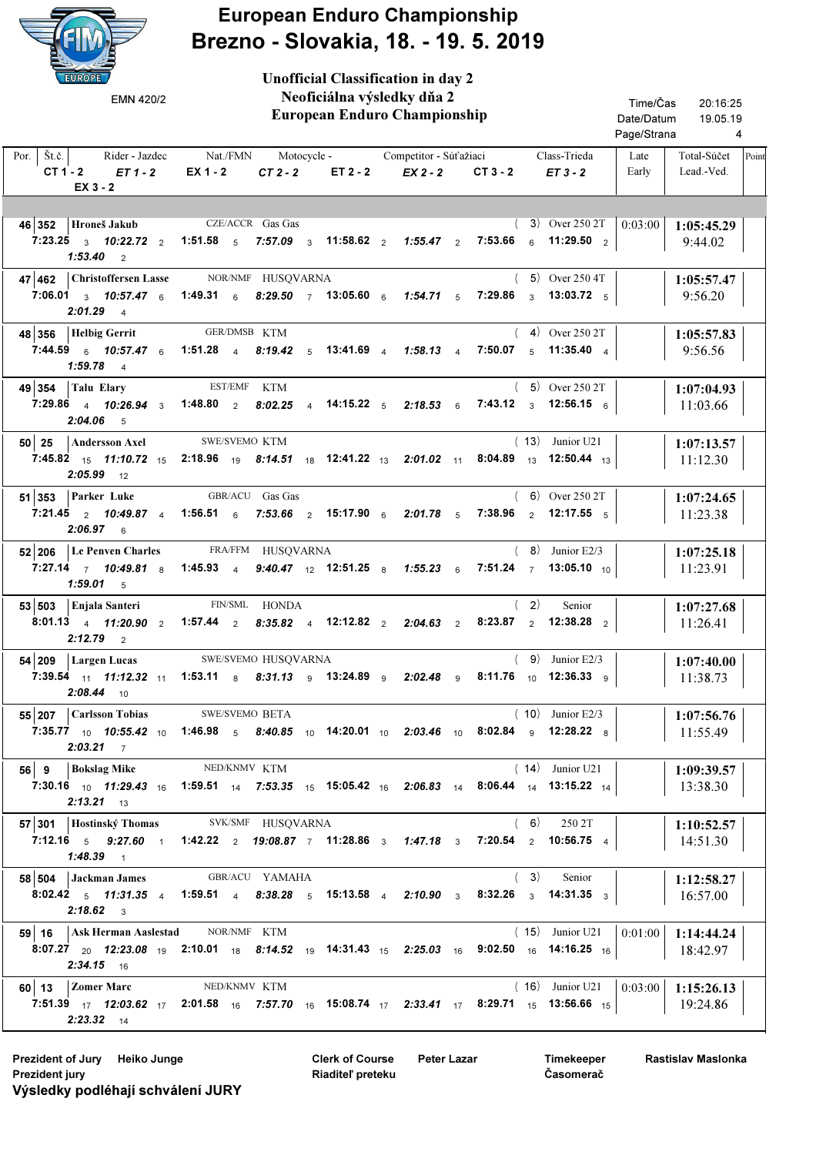

European Enduro Championship Brezno - Slovakia, 18. - 19. 5. 2019

 European Enduro Championship Rider Jazdec Nat./FMN Motocycle - Competitor Súťažiaci Class-Trieda | Late | Total-Súčet Lead.-Ved. Por.  $\left| \right.$  Št.č.  $\left| \right.$  $CT 1 - 2$   $ET 1 - 2$   $EX 1 - 2$   $CT 2 - 2$   $ET 2 - 2$ 20:16:25 4 19.05.19 Time/Čas Date/Datum Page/Strana Late Early Unofficial Classification in day 2 Neoficiálna výsledky dňa 2  $EX 2 - 2$  CT 3 - 2  $ET 3 - 2$ Point EMN 420/2 EX 3 - 2 46 352 Hroneš Jakub CZE/ACCR Gas Gas (3) Over 250 2T 0:03:00 1:05:45.29 9:44.02 CZE/ACCR Gas Gas 7:23.25  $_3$  10:22.72  $_2$  1:51.58  $_5$  7:57.09  $_3$  11:58.62  $_2$  1:55.47  $_2$  7:53.66  $_6$  11:29.50  $_2$ **Hroneš Jakub** CZE/ACCR Gas Gas  $(3)$  Over 250 2T  $(0.03.00)$  $1:53.40$  2 47 462 Christoffersen Lasse NOR/NMF HUSQVARNA (5) Over 250 4T 1:05:57.47 9:56.20 Christoffersen Lasse NOR/NMF HUSQVARNA  $7:06.01$   $_3$   $10:57.47$   $_6$   $1:49.31$   $_6$   $8:29.50$   $_7$   $13:05.60$   $_6$   $1:54.71$   $_5$   $7:29.86$   $_3$   $13:03.72$   $_5$ ( 5) Over 250 4T  $2:01.29$  4 48 356 1:05:57.83 Helbig Gerrit KTM 9:56.56 GER/DMSB KTM 7:44.59 10:57.47 1:51.28 8:19.42 13:41.69 1:58.13 7:50.07 6 6 4 5 4 4 5 4 11:35.40 ( 4) Over 250 2T  $1:59.78$  4 49 354 Talu Elary EST/EMF KTM (5) Over 250 2T 1:07:04.93 11:03.66 Talu Elary EST/EMF KTM  $7:29.86$  4 10:26.94  $_3$  1:48.80  $_2$  8:02.25  $_4$  14:15.22  $_5$  2:18.53  $_6$  7:43.12  $_3$  12:56.15  $_6$ ( 5) Over 250 2T  $2:04.06$  5 **50 25 Andersson Axel SWE/SVEMO KTM** (13) Junior U21 1:07:13.57 11:12.30 SWE/SVEMO KTM  $7:45.82\quad \ {\rm 15} \quad \ {\rm 11:10.72} \quad {\rm 15} \quad \ {\rm 2:18.96} \quad \ {\rm 19} \quad \ {\rm 8:14.51} \quad \ {\rm 18} \quad \ {\rm 12:41.22} \quad \ {\rm 13} \quad \ {\rm 2:01.02} \quad \ {\rm 11} \quad \ {\rm 8:04.89} \quad \ {\rm 13} \quad \ {\rm 12:50.44} \quad \ {\rm 13} \quad \ {\rm 13.51.43} \quad \ {\rm 14.5$ ( 13) Junior U21  $2:05.99$  12 **51 353 Parker Luke** GBR/ACU Gas Gas (6) Over 250 2T 1:07:24.65 11:23.38 Parker Luke **GBR/ACU** Gas Gas 7:21.45  $_2$  10:49.87  $_4$  1:56.51  $_6$  7:53.66  $_2$  15:17.90  $_6$  2:01.78  $_5$  7:38.96  $_2$  12:17.55  $_5$ ( 6) Over 250 2T 2:06.97 6 **52 206 Le Penven Charles** FRA/FFM HUSQVARNA (8) Junior E2/3 1:07:25.18 11:23.91  $7:27.14$   $7$   $10:49.81$   $8$   $1:45.93$   $4$   $9:40.47$   $12$   $12:51.25$   $8$   $1:55.23$   $6$   $7:51.24$   $7$   $13:05.10$   $10$  $(8)$  Junior E2/3  $1:59.01$  5 53 503 Enjala Santeri FIN/SML HONDA (2) Senior 1:07:27.68 11:26.41 Enjala Santeri FIN/SML HONDA 8:01.13  $_4$  11:20.90  $_2$  1:57.44  $_2$  8:35.82  $_4$  12:12.82  $_2$  2:04.63  $_2$  8:23.87  $_2$  12:38.28  $_2$  $(2)$  $2:12.79$  2 54 209 Largen Lucas SWE/SVEMO HUSQVARNA (9) Junior E2/3 1:07:40.00 11:38.73 Largen Lucas SWE/SVEMO HUSQVARNA  $7:39.54$  <sub>11</sub> 11:12.32 <sub>11</sub> 1:53.11  $_8$  8:31.13  $_9$  13:24.89  $_9$  2:02.48  $_9$  8:11.76 <sub>10</sub> 12:36.33  $_9$  $(9)$  Junior  $F2/3$  $2:08.44$  10 55 207 | Carlsson Tobias SWE/SVEMO BETA (10) Junior E2/3 | 1:07:56.76 11:55.49 Carlsson Tobias SWE/SVEMO BETA  $7:35.77$  <sub>10</sub> 10:55.42 <sub>10</sub> 1:46.98 <sub>5</sub> 8:40.85 <sub>10</sub> 14:20.01 <sub>10</sub> 2:03.46 <sub>10</sub> 8:02.84 <sub>9</sub> 12:28.22 <sub>8</sub> ( 10) Junior E2/3  $2:03.21$  7 56 9 Bokslag Mike NED/KNMV KTM (14) Junior U21 1:09:39.57 13:38.30 Bokslag Mike NED/KNMV KTM  $7:30.16$  <sub>10</sub> 11:29.43 <sub>16</sub> 1:59.51 <sub>14</sub> 7:53.35 <sub>15</sub> 15:05.42 <sub>16</sub> 2:06.83 <sub>14</sub> 8:06.44 <sub>14</sub> 13:15.22 <sub>14</sub> ( 14) Junior U21  $2:13.21$  13 57 301 | Hostinský Thomas SVK/SMF HUSQVARNA (6) 250 2T | 1:10:52.57 14:51.30 Hostinský Thomas SVK/SMF HUSQVARNA 7:12.16  $_5$  9:27.60  $_1$  1:42.22  $_2$  19:08.87  $_7$  11:28.86  $_3$  1:47.18  $_3$  7:20.54  $_2$  10:56.75  $_4$ 250 2T  $1:48.39$  1 58 504 Jackman James GBR/ACU YAMAHA (3) Senior | 1:12:58.27 16:57.00 Jackman James **GBR/ACU YAMAHA**  $\bf{8:02.42}$   $\bf{5}$   $\bf{11:31.35}$   $\bf{4}$   $\bf{1:59.51}$   $\bf{4}$   $\bf{8:38.28}$   $\bf{5}$   $\bf{15:13.58}$   $\bf{4}$   $\bf{2:10.90}$   $\bf{3}$   $\bf{8:32.26}$   $\bf{3}$   $\bf{14:31.35}$   $\bf{3}$  $(3)$  $2:18.62$  3 **59 16 Ask Herman Aaslestad MOR/NMF KTM 10.000 120 120 120 120 130 120 130 130 14:44.24** 18:42.97 NOR/NMF  $\frac{\textbf{8:07.27}}{20}$   $\frac{\textbf{2:23.08}}{19}$   $\frac{\textbf{2:10.01}}{16}$   $\frac{\textbf{8:14.52}}{19}$   $\frac{\textbf{14:31.43}}{15}$   $\frac{\textbf{2:25.03}}{16}$   $\frac{\textbf{9:02.50}}{16}$   $\frac{\textbf{14:16.25}}{16}$   $\frac{\textbf{16:16.25}}{16}$ ( 15) Junior U21 2:34.15 16 60 13 | Zomer Marc NED/KNMV KTM (16) Junior U21 | 0:03:00 | 1:15:26.13 19:24.86 NED/KNMV  $7:51.39$   $17$   $12.03.62$   $17$   $2:01.58$   $16$   $7.57.70$   $16$   $15.08.74$   $17$   $2.33.41$   $17$   $8.29.71$   $15$   $13.56.66$   $15$ **Zomer Marc NED/KNMV KTM 10.03:00 16 16 Junior U21 10:03:00** 2:23.32 14

Prezident of Jury Heiko Junge **Prezident of Lazar** Clerk of Course Peter Lazar Prezident jury Výsledky podléhají schválení JURY

Clerk of Course Riaditeľ preteku

Timekeeper Časomerač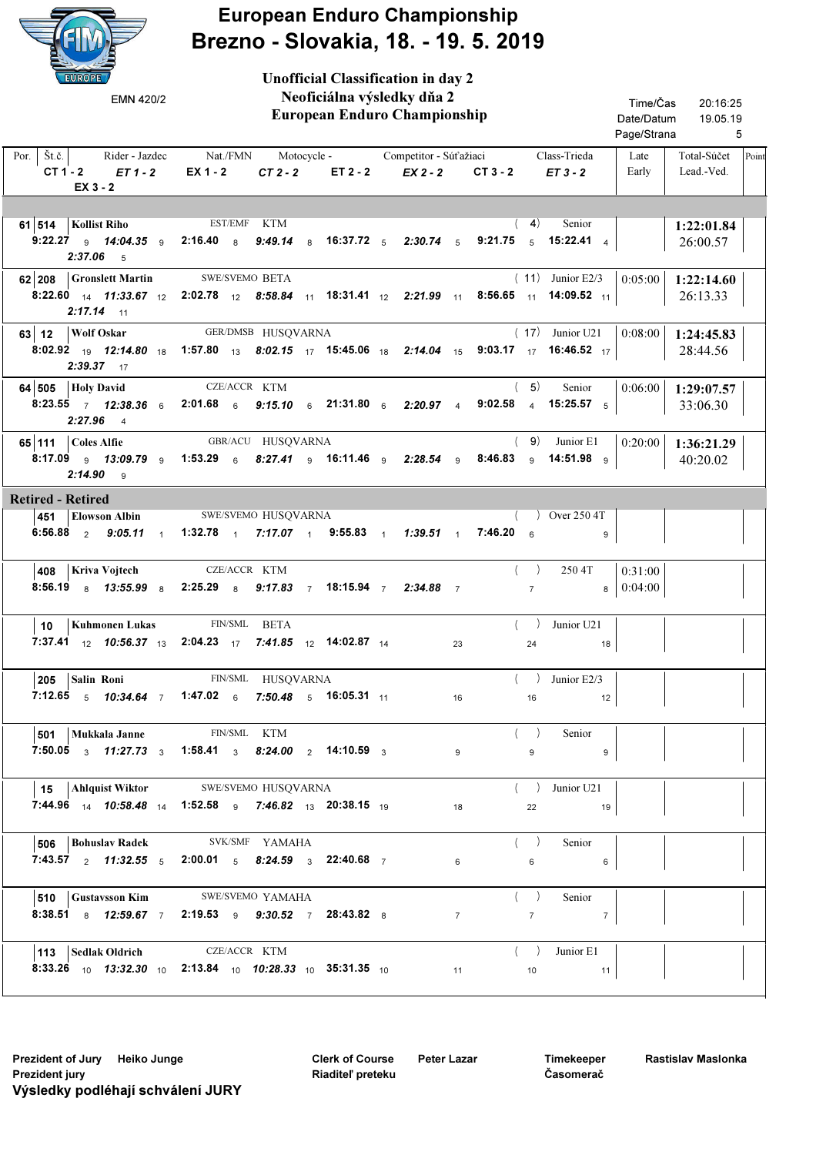

European Enduro Championship Brezno - Slovakia, 18. - 19. 5. 2019

 European Enduro Championship Rider Jazdec Nat./FMN Motocycle - Competitor Súťažiaci Class-Trieda | Late | Total-Súčet Lead.-Ved. Por.  $\left| \right.$  Št.č.  $\left| \right.$  $CT 1 - 2$   $ET 1 - 2$   $EX 1 - 2$   $CT 2 - 2$   $ET 2 - 2$ 20:16:25 5 19.05.19 Time/Čas Date/Datum Page/Strana Late Early Unofficial Classification in day 2 Neoficiálna výsledky dňa 2  $EX 2 - 2$  CT 3 - 2  $ET 3 - 2$ Point EMN 420/2 EX 3 - 2 61 514 | Kollist Riho EST/EMF KTM (4) Senior | 1:22:01.84 26:00.57 EST/EMF KTM 9:22.27 <sub>9</sub> 14:04.35 <sub>9</sub> 2:16.40 <sub>8</sub> 9:49.14 <sub>8</sub> 16:37.72 <sub>5</sub> 2:30.74 <sub>5</sub> 9:21.75 <sub>5</sub> 15:22.41 <sub>4</sub> ( 4) Senior  $2:37.06$  5 62 208 Gronslett Martin SWE/SVEMO BETA (11) Junior E2/3  $0.05:00$  1:22:14.60 26:13.33 SWE/SVEMO  $8:22.60$   $_{14}$   $11:33.67$   $_{12}$   $2:02.78$   $_{12}$   $8:58.84$   $_{11}$   $18:31.41$   $_{12}$   $2:21.99$   $_{11}$   $8:56.65$   $_{11}$   $14:09.52$   $_{11}$ ( 11) Junior E2/3  $2:17.14$  11 63 12 | Wolf Oskar GER/DMSB HUSQVARNA (17) Junior U21 | 0:08:00 | 1:24:45.83 28:44.56 **Wolf Oskar** GER/DMSB HUSQVARNA  $(17)$  Junior U21  $(0.08.00$  $8:02.92 \rightarrow 19$   $12:14.80$   $\rightarrow$   $1:57.80$   $\rightarrow$   $3$   $8:02.15$   $\rightarrow$   $7$   $15:45.06$   $\rightarrow$   $18$   $2:14.04$   $\rightarrow$   $15$   $9:03.17$   $\rightarrow$   $7$   $16:46.52$   $\rightarrow$ ( 17) Junior U21  $2:39.37$  17 64 505 Holy David CZE/ACCR KTM (5) Senior  $0.06:00 \mid 1:29:07.57$ 33:06.30 **Holy David** CZE/ACCR KTM  $(5)$  Senior  $(0.06.00$ 8:23.55 12:38.36 2:01.68 9:15.10 21:31.80 2:20.97 9:02.58 7 6 6 6 6 4 4 5 15:25.57  $(5)$  $2:27.96$  4 65 111 1:36:21.29 GBR/ACU Coles Alfie HUSQVARNA 0:20:00 40:20.02 8:17.09 <sub>9</sub> 13*:09.79* 9 1:53.29 <sub>6</sub> 8*:27.41* 9 16:11.46 9 2*:28.54* 9 8:46.83 9 14:51.98 9 ( 9) Junior E1  $2:14.90$  9 Retired - Retired  $\overline{\phantom{a}451}$  Elowson Albin 6:56.88  $_2$  9:05.11  $_1$  1:32.78  $_1$  7:17.07  $_1$  9:55.83  $_1$  1:39.51  $_1$  7:46.20  $_6$   $_9$ SWE/SVEMO HUSQVARNA ( ) Over 250 4T 408 | Kriva Vojtech CZE/ACCR KTM 8:56.19 13:55.99 2:25.29 9:17.83 18:15.94 2:34.88 8 8 8 7 7 7 7 8 **Kriva Vojtech** CZE/ACCR KTM  $($   $)$  250 4T  $|$  0:31:00 8 0:04:00 10 | Kuhmonen Lukas FIN/SML BETA **7:37.41** <sub>12</sub> 10:56.37 <sub>13</sub> 2:04.23 <sub>17</sub> 7:41.85 <sub>12</sub> 14:02.87 <sub>14</sub> 23 24 24 18 ( ) Junior U21  $205$  Salin Roni **7:12.65**  $_5$  **10:34.64**  $_7$  **1:47.02**  $_6$  **7:50.48**  $_5$  **16:05.31**  $_{11}$   $_1$   $_1$   $_1$   $_1$   $_1$   $_1$ FIN/SML HUSQVARNA  $($  ) Junior E2/3 501 | Mukkala Janne FIN/SML KTM **7:50.05**  $_3$  11:27.73  $_3$  1:58.41  $_3$  8:24.00  $_2$  14:10.59  $_3$  9 9 9 9 ( ) Senior  $\vert$  15 Ahlquist Wiktor **7:44.96** <sub>14</sub> 10:58.48 <sub>14</sub> 1:52.58 <sub>9</sub> 7:46.82 <sub>13</sub> 20:38.15 <sub>19</sub> 18 18 22 19 SWE/SVEMO HUSQVARNA ( ) Junior U21  $506$  Bohuslav Radek  $7:43.57$   $_2$   $11:32.55$   $_5$   $2:00.01$   $_5$   $8:24.59$   $_3$   $22:40.68$   $_7$   $_6$   $_6$   $_6$   $_6$ SVK/SMF YAMAHA ( ) Senior  $\overline{\phantom{a}}$  510  $\overline{\phantom{a}}$  Gustavsson Kim 8:38.51 12:59.67 2:19.53 9:30.52 28:43.82 8 7 9 7 8 7 7 7 SWE/SVEMO YAMAHA ( ) Senior 113 Sedlak Oldrich CZE/ACCR KTM **8:33.26** 10 13:32.30 10 2:13.84 10 10:28.33 10 35:31.35 10 11 11 10 10 11 ( ) Junior E1

Clerk of Course Riaditeľ preteku

Timekeeper Časomerač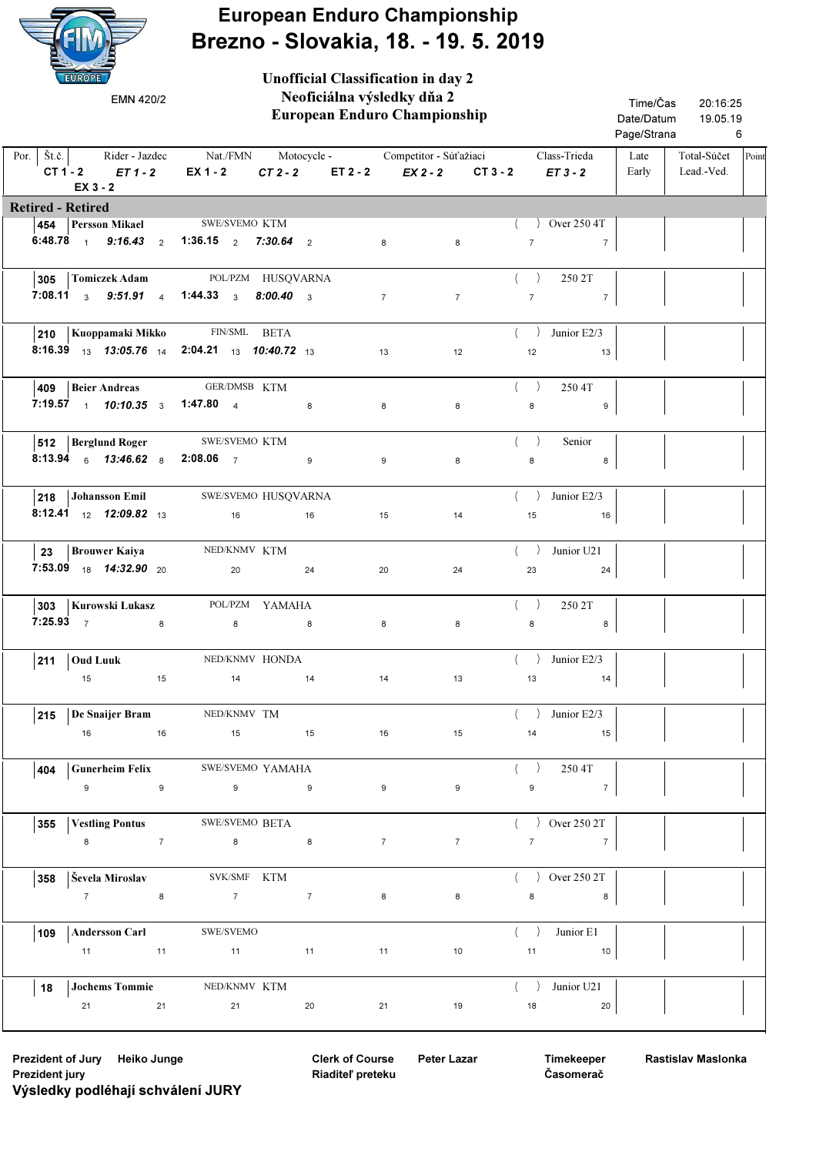

## European Enduro Championship Brezno - Slovakia, 18. - 19. 5. 2019

|                                 | EUROPE<br>EMN 420/2                                                                     |    | <b>Unofficial Classification in day 2</b><br>Neoficiálna výsledky dňa 2<br>European Enduro Championship |    |    |  |                | Time/Čas<br>Date/Datum<br>Page/Strana                                          | 20:16:25<br>19.05.19<br>6 |                |                                                          |               |                           |       |
|---------------------------------|-----------------------------------------------------------------------------------------|----|---------------------------------------------------------------------------------------------------------|----|----|--|----------------|--------------------------------------------------------------------------------|---------------------------|----------------|----------------------------------------------------------|---------------|---------------------------|-------|
| Por.   $\check{S}t.\check{c}$ . | Rider - Jazdec<br>$CT1-2$ $ET1-2$<br>$EX_3 - 2$                                         |    | EX 1 - 2                                                                                                |    |    |  |                | Nat./FMN Motocycle - Competitor - Súťažiaci<br>$CT2-2$ $ET2-2$ $EX2-2$ $CT3-2$ |                           |                | Class-Trieda<br>$ET3-2$                                  | Late<br>Early | Total-Súčet<br>Lead.-Ved. | Point |
| <b>Retired - Retired</b>        |                                                                                         |    |                                                                                                         |    |    |  |                |                                                                                |                           |                |                                                          |               |                           |       |
|                                 | 454 Persson Mikael SWE/SVEMO KTM                                                        |    |                                                                                                         |    |    |  |                |                                                                                |                           |                | $)$ Over 250 4T                                          |               |                           |       |
|                                 | 6:48.78 $\frac{1}{1}$ 9:16.43 $\frac{1}{2}$ 1:36.15 $\frac{1}{2}$ 7:30.64 $\frac{1}{2}$ |    |                                                                                                         |    |    |  | 8              | 8                                                                              |                           | $\overline{7}$ | $\overline{7}$                                           |               |                           |       |
|                                 | 305 Tomiczek Adam POL/PZM HUSQVARNA                                                     |    |                                                                                                         |    |    |  |                |                                                                                |                           | (              | 250 2T                                                   |               |                           |       |
|                                 | 7:08.11 3 9:51.91 4 1:44.33 3 8:00.40 3                                                 |    |                                                                                                         |    |    |  | $7\overline{}$ | $\overline{7}$                                                                 |                           | $\overline{7}$ | $\overline{7}$                                           |               |                           |       |
|                                 | 210   Kuoppamaki Mikko FIN/SML BETA                                                     |    |                                                                                                         |    |    |  |                |                                                                                |                           |                | Junior E2/3                                              |               |                           |       |
|                                 | 8:16.39 13 13:05.76 14 2:04.21 13 10:40.72 13                                           |    |                                                                                                         |    |    |  | 13             | 12                                                                             |                           | 12             | 13                                                       |               |                           |       |
|                                 | 409   Beier Andreas                                                                     |    | GER/DMSB KTM                                                                                            |    |    |  |                |                                                                                |                           | $($ )          | 250 4T                                                   |               |                           |       |
|                                 | 7:19.57 $10:10.35$ 3 1:47.80 4                                                          |    |                                                                                                         |    | 8  |  | 8              | 8                                                                              |                           | 8              | 9                                                        |               |                           |       |
|                                 | <b>512 Berglund Roger</b> SWE/SVEMO KTM                                                 |    |                                                                                                         |    |    |  |                |                                                                                |                           | (              | Senior                                                   |               |                           |       |
|                                 | <b>8:13.94</b> 6 <b>13:46.62</b> 8 <b>2:08.06</b> 7 9                                   |    |                                                                                                         |    |    |  | 9              | 8                                                                              |                           | 8              | $\bf8$                                                   |               |                           |       |
|                                 | 218 Johansson Emil SWE/SVEMO HUSQVARNA                                                  |    |                                                                                                         |    |    |  |                |                                                                                |                           | (              | Junior E2/3                                              |               |                           |       |
|                                 | <b>8:12.41</b> $12 \cdot 12 \cdot 09.82$ $13 \cdot 09.82$                               |    | 16                                                                                                      |    | 16 |  | 15             | 14                                                                             |                           | 15             | 16                                                       |               |                           |       |
| 23                              | <b>Brouwer Kaiya</b>                                                                    |    | NED/KNMV KTM                                                                                            |    |    |  |                |                                                                                |                           | (              | Junior U21                                               |               |                           |       |
|                                 | 7:53.09 18 14:32.90 20                                                                  |    | 20                                                                                                      |    | 24 |  | 20             | 24                                                                             |                           | 23             | 24                                                       |               |                           |       |
|                                 | 303   Kurowski Lukasz                                                                   |    | POL/PZM YAMAHA                                                                                          |    |    |  |                |                                                                                |                           | $($ )          | 250 2T                                                   |               |                           |       |
|                                 | <b>7:25.93</b> $\frac{1}{7}$ 8                                                          |    | 8                                                                                                       |    | 8  |  | 8              | 8                                                                              |                           | 8              | 8                                                        |               |                           |       |
| 211                             | <b>Oud Luuk</b>                                                                         |    | NED/KNMV HONDA                                                                                          |    |    |  |                |                                                                                |                           |                | $\left(\begin{array}{cc} \end{array}\right)$ Junior E2/3 |               |                           |       |
|                                 | 15 15 14 14 14                                                                          |    |                                                                                                         |    |    |  | 14             |                                                                                | 13                        |                | 13<br>14                                                 |               |                           |       |
| 215                             | De Snaijer Bram NED/KNMV TM                                                             |    |                                                                                                         |    |    |  |                |                                                                                |                           |                | $\langle \rangle$ Junior E2/3                            |               |                           |       |
|                                 | 16 16                                                                                   |    | 15 15 16                                                                                                |    |    |  |                | 15                                                                             |                           | 14             | 15                                                       |               |                           |       |
| 404                             | <b>Gunerheim Felix</b>                                                                  |    | SWE/SVEMO YAMAHA                                                                                        |    |    |  |                |                                                                                |                           | $($ )          | 250 4T                                                   |               |                           |       |
|                                 | $9$ 9                                                                                   |    | $\overline{9}$ and $\overline{9}$                                                                       |    |    |  | 9              | 9                                                                              |                           |                | $9 \t 7$                                                 |               |                           |       |
| 355                             | <b>Vestling Pontus</b>                                                                  |    | <b>SWE/SVEMO BETA</b>                                                                                   |    |    |  |                |                                                                                |                           |                | $()$ Over 250 2T                                         |               |                           |       |
|                                 | 8 7                                                                                     |    | $\overline{\phantom{a}}$ 8                                                                              |    | 8  |  | 7              | $7^{\circ}$                                                                    |                           |                | 7<br>$7^{\circ}$                                         |               |                           |       |
| 358                             | Ševela Miroslav                                                                         |    | SVK/SMF KTM                                                                                             |    |    |  |                |                                                                                |                           |                | $\sim$ Over 250 2T                                       |               |                           |       |
|                                 | $7$ 8                                                                                   |    | $7$ $7$                                                                                                 |    |    |  | 8              | 8                                                                              |                           |                | $8$ $8$                                                  |               |                           |       |
| 109                             | <b>Andersson Carl</b>                                                                   |    | SWE/SVEMO                                                                                               |    |    |  |                |                                                                                |                           |                | $( )$ Junior E1                                          |               |                           |       |
|                                 | $11$ $11$                                                                               |    | $11$ $11$                                                                                               |    |    |  | 11             | 10                                                                             |                           |                | 11 10                                                    |               |                           |       |
| 18                              | <b>Jochems Tommie</b>                                                                   |    | NED/KNMV KTM                                                                                            |    |    |  |                |                                                                                |                           |                | $($ ) Junior U21                                         |               |                           |       |
|                                 | 21                                                                                      | 21 |                                                                                                         | 21 | 20 |  | 21             | 19                                                                             |                           | 18             | 20                                                       |               |                           |       |

Clerk of Course Riaditeľ preteku

Timekeeper Časomerač